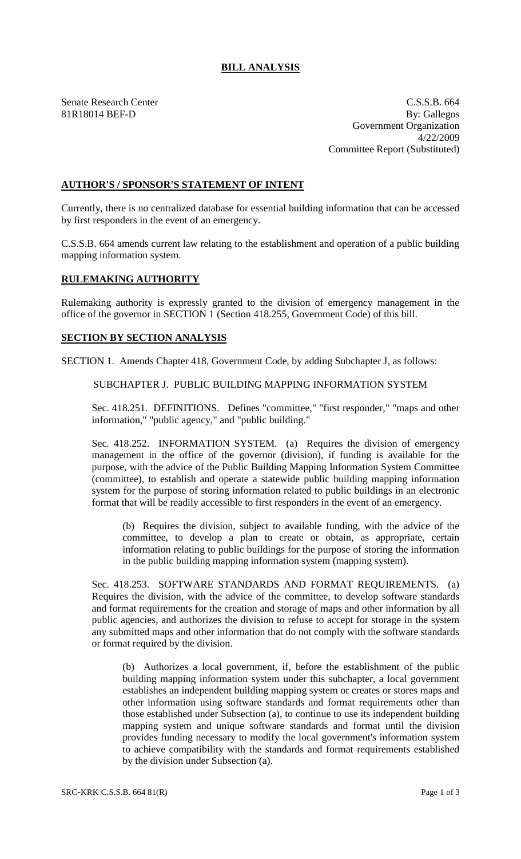## **BILL ANALYSIS**

Senate Research Center Cassets and the C.S.S.B. 664 81R18014 BEF-D By: Gallegos Government Organization 4/22/2009 Committee Report (Substituted)

## **AUTHOR'S / SPONSOR'S STATEMENT OF INTENT**

Currently, there is no centralized database for essential building information that can be accessed by first responders in the event of an emergency.

C.S.S.B. 664 amends current law relating to the establishment and operation of a public building mapping information system.

## **RULEMAKING AUTHORITY**

Rulemaking authority is expressly granted to the division of emergency management in the office of the governor in SECTION 1 (Section 418.255, Government Code) of this bill.

## **SECTION BY SECTION ANALYSIS**

SECTION 1. Amends Chapter 418, Government Code, by adding Subchapter J, as follows:

SUBCHAPTER J. PUBLIC BUILDING MAPPING INFORMATION SYSTEM

Sec. 418.251. DEFINITIONS. Defines "committee," "first responder," "maps and other information," "public agency," and "public building."

Sec. 418.252. INFORMATION SYSTEM. (a) Requires the division of emergency management in the office of the governor (division), if funding is available for the purpose, with the advice of the Public Building Mapping Information System Committee (committee), to establish and operate a statewide public building mapping information system for the purpose of storing information related to public buildings in an electronic format that will be readily accessible to first responders in the event of an emergency.

(b) Requires the division, subject to available funding, with the advice of the committee, to develop a plan to create or obtain, as appropriate, certain information relating to public buildings for the purpose of storing the information in the public building mapping information system (mapping system).

Sec. 418.253. SOFTWARE STANDARDS AND FORMAT REQUIREMENTS. (a) Requires the division, with the advice of the committee, to develop software standards and format requirements for the creation and storage of maps and other information by all public agencies, and authorizes the division to refuse to accept for storage in the system any submitted maps and other information that do not comply with the software standards or format required by the division.

(b) Authorizes a local government, if, before the establishment of the public building mapping information system under this subchapter, a local government establishes an independent building mapping system or creates or stores maps and other information using software standards and format requirements other than those established under Subsection (a), to continue to use its independent building mapping system and unique software standards and format until the division provides funding necessary to modify the local government's information system to achieve compatibility with the standards and format requirements established by the division under Subsection (a).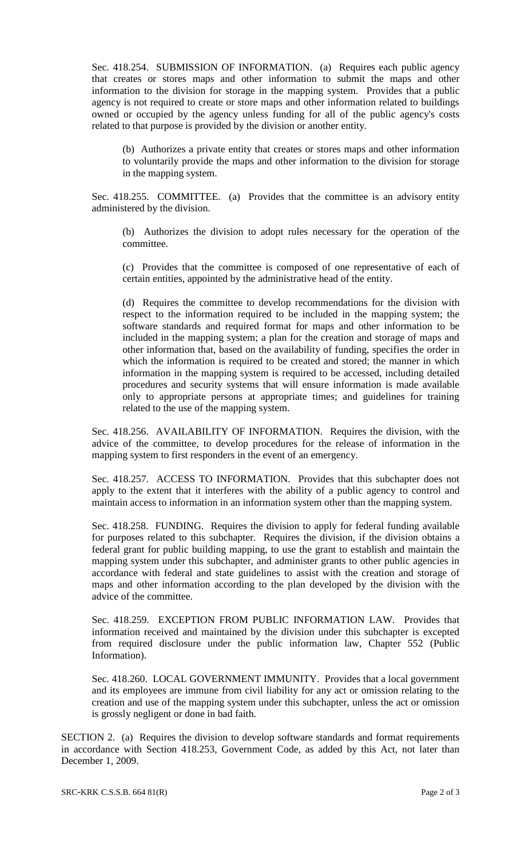Sec. 418.254. SUBMISSION OF INFORMATION. (a) Requires each public agency that creates or stores maps and other information to submit the maps and other information to the division for storage in the mapping system. Provides that a public agency is not required to create or store maps and other information related to buildings owned or occupied by the agency unless funding for all of the public agency's costs related to that purpose is provided by the division or another entity.

(b) Authorizes a private entity that creates or stores maps and other information to voluntarily provide the maps and other information to the division for storage in the mapping system.

Sec. 418.255. COMMITTEE. (a) Provides that the committee is an advisory entity administered by the division.

(b) Authorizes the division to adopt rules necessary for the operation of the committee.

(c) Provides that the committee is composed of one representative of each of certain entities, appointed by the administrative head of the entity.

(d) Requires the committee to develop recommendations for the division with respect to the information required to be included in the mapping system; the software standards and required format for maps and other information to be included in the mapping system; a plan for the creation and storage of maps and other information that, based on the availability of funding, specifies the order in which the information is required to be created and stored; the manner in which information in the mapping system is required to be accessed, including detailed procedures and security systems that will ensure information is made available only to appropriate persons at appropriate times; and guidelines for training related to the use of the mapping system.

Sec. 418.256. AVAILABILITY OF INFORMATION. Requires the division, with the advice of the committee, to develop procedures for the release of information in the mapping system to first responders in the event of an emergency.

Sec. 418.257. ACCESS TO INFORMATION. Provides that this subchapter does not apply to the extent that it interferes with the ability of a public agency to control and maintain access to information in an information system other than the mapping system.

Sec. 418.258. FUNDING. Requires the division to apply for federal funding available for purposes related to this subchapter. Requires the division, if the division obtains a federal grant for public building mapping, to use the grant to establish and maintain the mapping system under this subchapter, and administer grants to other public agencies in accordance with federal and state guidelines to assist with the creation and storage of maps and other information according to the plan developed by the division with the advice of the committee.

Sec. 418.259. EXCEPTION FROM PUBLIC INFORMATION LAW. Provides that information received and maintained by the division under this subchapter is excepted from required disclosure under the public information law, Chapter 552 (Public Information).

Sec. 418.260. LOCAL GOVERNMENT IMMUNITY. Provides that a local government and its employees are immune from civil liability for any act or omission relating to the creation and use of the mapping system under this subchapter, unless the act or omission is grossly negligent or done in bad faith.

SECTION 2. (a) Requires the division to develop software standards and format requirements in accordance with Section 418.253, Government Code, as added by this Act, not later than December 1, 2009.